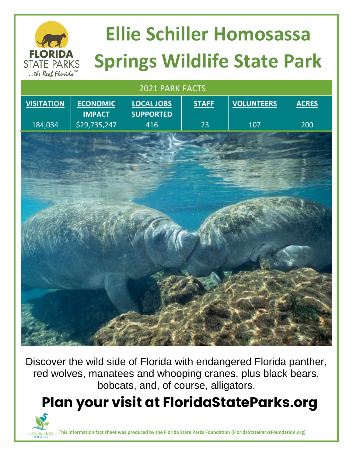# **Ellie Schiller Homosassa Springs Wildlife State Park**

 2021 PARK FACTS **VISITATION** 184,034 **ECONOMIC IMPACT** \$29,735,247 **LOCAL JOBS SUPPORTED** 416 **STAFF**  $23$ **VOLUNTEERS** 107 **ACRES** 200

Discover the wild side of Florida with endangered Florida panther, red wolves, manatees and whooping cranes, plus black bears, bobcats, and, of course, alligators.

### **Plan your visit at FloridaStateParks.org**



**FLORIDA STATE PARKS** ... the Real Florida

**This information fact sheet was produced by the Florida State Parks Foundation (FloridaStateParksFoundation.org)**